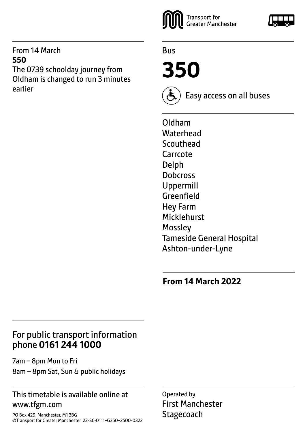#### From 14 March **S50** The 0739 schoolday journey from Oldham is changed to run 3 minutes earlier



Bus

**350**

Easy access on all buses

Oldham **Waterhead Scouthead** Carrcote Delph **Dobcross** Uppermill Greenfield Hey Farm Micklehurst **Mossley** Tameside General Hospital Ashton-under-Lyne

**From 14 March 2022**

## For public transport information phone **0161 244 1000**

7am – 8pm Mon to Fri 8am – 8pm Sat, Sun & public holidays

#### This timetable is available online at www.tfgm.com

PO Box 429, Manchester, M1 3BG ©Transport for Greater Manchester 22-SC-0111–G350–2500-0322 Operated by First Manchester **Stagecoach** 

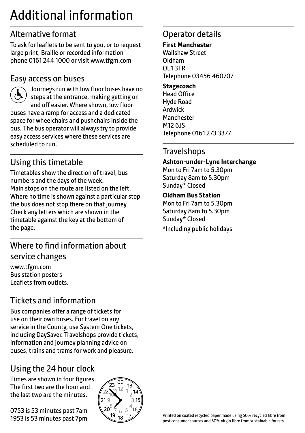## Additional information

## Alternative format

To ask for leaflets to be sent to you, or to request large print, Braille or recorded information phone 0161 244 1000 or visit www.tfgm.com

#### Easy access on buses



 Journeys run with low floor buses have no steps at the entrance, making getting on and off easier. Where shown, low floor buses have a ramp for access and a dedicated space for wheelchairs and pushchairs inside the bus. The bus operator will always try to provide easy access services where these services are scheduled to run.

## Using this timetable

Timetables show the direction of travel, bus numbers and the days of the week. Main stops on the route are listed on the left. Where no time is shown against a particular stop, the bus does not stop there on that journey. Check any letters which are shown in the timetable against the key at the bottom of the page.

## Where to find information about service changes

www.tfgm.com Bus station posters Leaflets from outlets.

## Tickets and information

Bus companies offer a range of tickets for use on their own buses. For travel on any service in the County, use System One tickets, including DaySaver. Travelshops provide tickets, information and journey planning advice on buses, trains and trams for work and pleasure.

## Using the 24 hour clock

Times are shown in four figures. The first two are the hour and the last two are the minutes.

0753 is 53 minutes past 7am 1953 is 53 minutes past 7pm



## Operator details

#### **First Manchester**

Wallshaw Street Oldham OL1 3TR Telephone 03456 460707

#### **Stagecoach**

Head Office Hyde Road Ardwick **Manchester** M12 6JS Telephone 0161 273 3377

#### **Travelshops**

#### **Ashton-under-Lyne Interchange**

Mon to Fri 7am to 5.30pm Saturday 8am to 5.30pm Sunday\* Closed

#### **Oldham Bus Station**

Mon to Fri 7am to 5.30pm Saturday 8am to 5.30pm Sunday\* Closed \*Including public holidays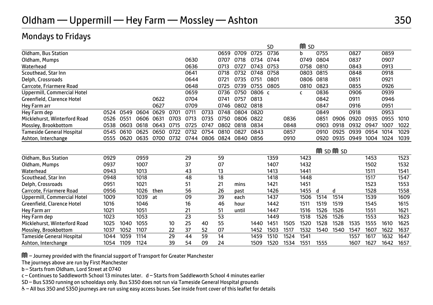#### Mondays to Fridays

|                              |      |      |      |      |      |      |      |      |       |        | SD   |      | M<br><b>SD</b> |      |               |      |      |      |      |
|------------------------------|------|------|------|------|------|------|------|------|-------|--------|------|------|----------------|------|---------------|------|------|------|------|
| Oldham, Bus Station          |      |      |      |      |      |      |      | 0659 | 0709  | 0725   | 0736 |      | b              | 0755 |               | 0827 |      | 0859 |      |
| Oldham, Mumps                |      |      |      |      |      | 0630 |      | 0707 | 0718  | 0734   | 0744 |      | 0749           | 0804 |               | 0837 |      | 0907 |      |
| Waterhead                    |      |      |      |      |      | 0636 |      | 0713 | 0727  | 0743   | 0753 |      | 0758           | 0810 |               | 0843 |      | 0913 |      |
| Scouthead, Star Inn          |      |      |      |      |      | 0641 |      | 0718 | 0732  | 0748   | 0758 |      | 0803           | 0815 |               | 0848 |      | 0918 |      |
| Delph, Crossroads            |      |      |      |      |      | 0644 |      | 0721 | 0735  | 0751   | 0801 |      | 0806           | 0818 |               | 0851 |      | 0921 |      |
| Carrcote, Friarmere Road     |      |      |      |      |      | 0648 |      | 0725 | 0739  | 0755   | 0805 |      | 0810           | 0823 |               | 0855 |      | 0926 |      |
| Uppermill, Commercial Hotel  |      |      |      |      |      | 0659 |      | 0736 | 0750  | 0806 c |      |      | c              | 0836 |               | 0906 |      | 0939 |      |
| Greenfield, Clarence Hotel   |      |      |      | 0622 |      | 0704 |      | 0741 | 0757  | 0813   |      |      |                | 0842 |               | 0911 |      | 0946 |      |
| Hey Farm arr                 |      |      |      | 0627 |      | 0709 |      | 0746 | 0802  | 0818   |      |      |                | 0847 |               | 0916 |      | 0951 |      |
| Hey Farm dep                 | 0524 | 0549 | 0604 | 0629 | 0701 | 0711 | 0733 | 0748 | 0804  | 0820   |      |      |                | 0849 |               | 0918 |      | 0953 |      |
| Micklehurst, Winterford Road | 0526 | 0551 | 0606 | 0631 | 0703 | 0713 | 0735 | 0750 | 0806  | 0822   |      | 0836 |                | 0851 | 0906          | 0920 | 0935 | 0955 | 1010 |
| Mossley, Brookbottom         | 0538 | 0603 | 0618 | 0643 | 0715 | 0725 | 0747 | 0802 | 0818  | 0834   |      | 0848 |                | 0903 | 0918          | 0932 | 0947 | 1007 | 1022 |
| Tameside General Hospital    | 0545 | 0610 | 0625 | 0650 | 0722 | 0732 | 0754 | 0810 | 0827  | 0843   |      | 0857 |                | 0910 | 0925          | 0939 | 0954 | 1014 | 1029 |
| Ashton, Interchange          | 0555 | 0620 | 0635 | 0700 | 0732 | 0744 | 0806 | 0824 | 0840  | 0856   |      | 0910 |                | 0920 | 0935          | 0949 | 1004 | 1024 | 1039 |
|                              |      |      |      |      |      |      |      |      |       |        |      |      |                |      |               |      |      |      |      |
|                              |      |      |      |      |      |      |      |      |       |        |      |      |                |      | $m$ sp $m$ sp |      |      |      |      |
| Oldham, Bus Station          | 0929 |      | 0959 |      |      | 29   |      | 59   |       |        | 1359 |      | 1423           |      |               |      | 1453 |      | 1523 |
| Oldham, Mumps                | 0937 |      | 1007 |      |      | 37   |      | 07   |       |        | 1407 |      | 1432           |      |               |      | 1502 |      | 1532 |
| Waterhead                    | 0943 |      | 1013 |      |      | 43   |      | 13   |       |        | 1413 |      | 1441           |      |               |      | 1511 |      | 1541 |
| Scouthead, Star Inn          | 0948 |      | 1018 |      |      | 48   |      | 18   |       |        | 1418 |      | 1448           |      |               |      | 1517 |      | 1547 |
| Delph, Crossroads            | 0951 |      | 1021 |      |      | 51   |      | 21   | mins  |        | 1421 |      | 1451           |      |               |      | 1523 |      | 1553 |
|                              |      |      |      |      |      |      |      |      |       |        |      |      |                |      |               |      |      |      |      |
| Carrcote, Friarmere Road     | 0956 |      | 1026 | then |      | 56   |      | 26   | past  |        | 1426 |      | 1455           | d    | d             |      | 1528 |      | 1558 |
| Uppermill, Commercial Hotel  | 1009 |      | 1039 | at   |      | 09   |      | 39   | each  |        | 1437 |      | 1506           | 1514 | 1514          |      | 1539 |      | 1609 |
| Greenfield, Clarence Hotel   | 1016 |      | 1046 |      |      | 16   |      | 46   | hour  |        | 1442 |      | 1511           | 1519 | 1519          |      | 1545 |      | 1615 |
| Hey Farm arr                 | 1021 |      | 1051 |      |      | 21   |      | 51   | until |        | 1447 |      | 1516           | 1526 | 1526          |      | 1551 |      | 1621 |
| Hey Farm dep                 | 1023 |      | 1053 |      |      | 23   |      | 53   |       |        | 1449 |      | 1518           | 1526 | 1526          |      | 1553 |      | 1623 |
| Micklehurst, Winterford Road | 1025 | 1040 | 1055 |      | 10   | 25   | 40   | 55   |       | 1440   | 1451 | 1505 | 1520           | 1528 | 1528          | 1535 | 1555 | 1610 | 1625 |
| Mossley, Brookbottom         | 1037 | 1052 | 1107 |      | 22   | 37   | 52   | 07   |       | 1452   | 1503 | 1517 | 1532           | 1540 | 1540          | 1547 | 1607 | 1622 | 1637 |

Ashton, Interchange 1054 109 1124 39 54 09 24 1509 1520 1534 1551 1555 1607 1627 1642 1657

M – Journey provided with the financial support of Transport for Greater Manchester

The journeys above are run by First Manchester

b – Starts from Oldham, Lord Street at 0740

c – Continues to Saddleworth School 13 minutes later. d – Starts from Saddleworth School 4 minutes earlier

SD – Bus S350 running on schooldays only. Bus S350 does not run via Tameside General Hospital grounds

W– All bus 350 and S350 journeys are run using easy access buses. See inside front cover of this leaflet for details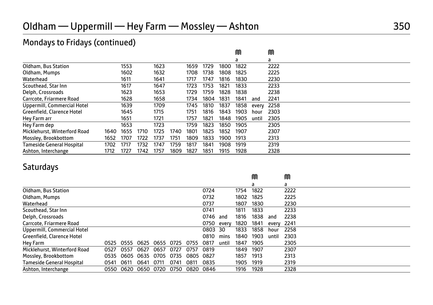## Mondays to Fridays (continued)

|                                  |      |      |      |      |      |      |      |      | M    |       | M    |  |  |  |
|----------------------------------|------|------|------|------|------|------|------|------|------|-------|------|--|--|--|
|                                  |      |      |      |      |      |      |      |      | a    |       | a    |  |  |  |
| Oldham, Bus Station              |      | 1553 |      | 1623 |      | 1659 | 1729 | 1800 | 1822 |       | 2222 |  |  |  |
| Oldham, Mumps                    |      | 1602 |      | 1632 |      | 1708 | 1738 | 1808 | 1825 |       | 2225 |  |  |  |
| Waterhead                        |      | 1611 |      | 1641 |      | 1717 | 1747 | 1816 | 1830 |       | 2230 |  |  |  |
| Scouthead, Star Inn              |      | 1617 |      | 1647 |      | 1723 | 1753 | 1821 | 1833 |       | 2233 |  |  |  |
| Delph, Crossroads                |      | 1623 |      | 1653 |      | 1729 | 1759 | 1828 | 1838 |       | 2238 |  |  |  |
| Carrcote, Friarmere Road         |      | 1628 |      | 1658 |      | 1734 | 1804 | 1831 | 1841 | and   | 2241 |  |  |  |
| Uppermill, Commercial Hotel      |      | 1639 |      | 1709 |      | 1745 | 1810 | 1837 | 1858 | every | 2258 |  |  |  |
| Greenfield, Clarence Hotel       |      | 1645 |      | 1715 |      | 1751 | 1816 | 1843 | 1903 | hour  | 2303 |  |  |  |
| Hey Farm arr                     |      | 1651 |      | 1721 |      | 1757 | 1821 | 1848 | 1905 | until | 2305 |  |  |  |
| Hey Farm dep                     |      | 1653 |      | 1723 |      | 1759 | 1823 | 1850 | 1905 |       | 2305 |  |  |  |
| Micklehurst, Winterford Road     | 1640 | 1655 | 1710 | 1725 | 1740 | 1801 | 1825 | 1852 | 1907 |       | 2307 |  |  |  |
| Mossley, Brookbottom             | 1652 | 1707 | 1722 | 1737 | 1751 | 1809 | 1833 | 1900 | 1913 |       | 2313 |  |  |  |
| <b>Tameside General Hospital</b> | 1702 | 1717 | 1732 | 1747 | 1759 | 1817 | 1841 | 1908 | 1919 |       | 2319 |  |  |  |
| Ashton, Interchange              | 1712 | 1727 | 1742 | 1757 | 1809 | 1827 | 1851 | 1915 | 1928 |       | 2328 |  |  |  |

## Saturdays

|                                  |      |      |      |      |      |      |      |       |      | M    |       | M    |  |
|----------------------------------|------|------|------|------|------|------|------|-------|------|------|-------|------|--|
|                                  |      |      |      |      |      |      |      |       |      | a    |       | a    |  |
| Oldham, Bus Station              |      |      |      |      |      |      | 0724 |       | 1754 | 1822 |       | 2222 |  |
| Oldham, Mumps                    |      |      |      |      |      |      | 0732 |       | 1802 | 1825 |       | 2225 |  |
| Waterhead                        |      |      |      |      |      |      | 0737 |       | 1807 | 1830 |       | 2230 |  |
| Scouthead, Star Inn              |      |      |      |      |      |      | 0741 |       | 1811 | 1833 |       | 2233 |  |
| Delph, Crossroads                |      |      |      |      |      |      | 0746 | and   | 1816 | 1838 | and   | 2238 |  |
| Carrcote, Friarmere Road         |      |      |      |      |      |      | 0750 | every | 1820 | 1841 | every | 2241 |  |
| Uppermill, Commercial Hotel      |      |      |      |      |      |      | 0803 | 30    | 1833 | 1858 | hour  | 2258 |  |
| Greenfield, Clarence Hotel       |      |      |      |      |      |      | 0810 | mins  | 1840 | 1903 | until | 2303 |  |
| Hey Farm                         | 0525 | 0555 | 0625 | 0655 | 0725 | 0755 | 0817 | until | 1847 | 1905 |       | 2305 |  |
| Micklehurst, Winterford Road     | 0527 | 0557 | 0627 | 0657 | 0727 | 0757 | 0819 |       | 1849 | 1907 |       | 2307 |  |
| Mossley, Brookbottom             | 0535 | 0605 | 0635 | 0705 | 0735 | 0805 | 0827 |       | 1857 | 1913 |       | 2313 |  |
| <b>Tameside General Hospital</b> | 0541 | 0611 | 0641 | 0711 | 0741 | 0811 | 0835 |       | 1905 | 1919 |       | 2319 |  |
| Ashton, Interchange              | 0550 | 0620 | 0650 | 0720 | 0750 | 0820 | 0846 |       | 1916 | 1928 |       | 2328 |  |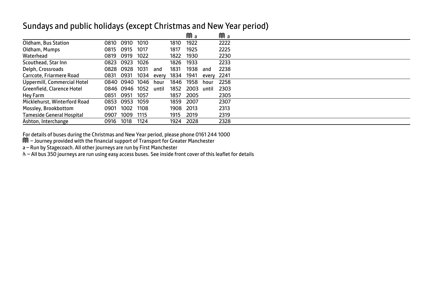#### Sundays and public holidays (except Christmas and New Year period)

|                                  |           |                |      |       |      | Ma   |       | Ma   |  |
|----------------------------------|-----------|----------------|------|-------|------|------|-------|------|--|
| Oldham, Bus Station              | 0810      | 0910           | 1010 |       | 1810 | 1922 |       | 2222 |  |
| Oldham, Mumps                    | 0815      | 0915           | 1017 |       | 1817 | 1925 |       | 2225 |  |
| Waterhead                        | 0819      | 0919           | 1022 |       | 1822 | 1930 |       | 2230 |  |
| Scouthead, Star Inn              |           | 0823 0923      | 1026 |       | 1826 | 1933 |       | 2233 |  |
| Delph, Crossroads                |           | 0828 0928      | 1031 | and   | 1831 | 1938 | and   | 2238 |  |
| Carrcote, Friarmere Road         | 0831 0931 |                | 1034 | every | 1834 | 1941 | every | 2241 |  |
| Uppermill, Commercial Hotel      |           | 0840 0940      | 1046 | hour  | 1846 | 1958 | hour  | 2258 |  |
| Greenfield, Clarence Hotel       |           | 0846 0946 1052 |      | until | 1852 | 2003 | until | 2303 |  |
| Hey Farm                         | 0851      | 0951           | 1057 |       | 1857 | 2005 |       | 2305 |  |
| Micklehurst, Winterford Road     | 0853      | 0953           | 1059 |       | 1859 | 2007 |       | 2307 |  |
| Mossley, Brookbottom             | 0901      | 1002           | 1108 |       | 1908 | 2013 |       | 2313 |  |
| <b>Tameside General Hospital</b> | 0907      | 1009           | 1115 |       | 1915 | 2019 |       | 2319 |  |
| Ashton, Interchange              | 0916      | 1018           | 1124 |       | 1924 | 2028 |       | 2328 |  |

For details of buses during the Christmas and New Year period, please phone 0161 244 1000 M – Journey provided with the financial support of Transport for Greater Manchester

a – Run by Stagecoach. All other journeys are run by First Manchester<br>& – All bus 350 journeys are run using easy access buses. See inside front cover of this leaflet for details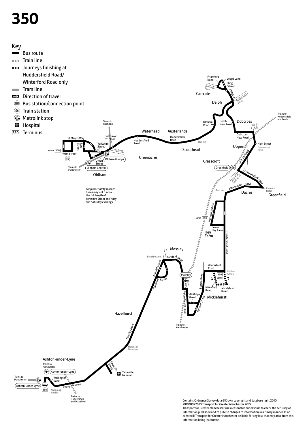# **350**



Transport for Greater Manchester uses reasonable endeavours to check the accuracy of information published and to publish changes to information in a timely manner. In no event will Transport for Greater Manchester be liable for any loss that may arise from this information being inaccurate.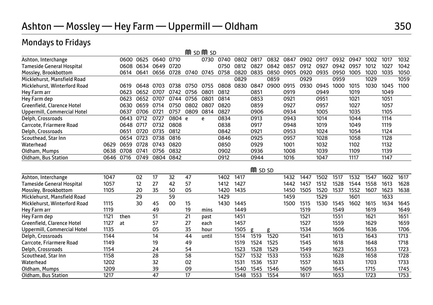## Mondays to Fridays

|                                                   |      |           |           |      |        |      | M SD M SD |              |      |                |      |              |      |      |      |      |      |      |      |
|---------------------------------------------------|------|-----------|-----------|------|--------|------|-----------|--------------|------|----------------|------|--------------|------|------|------|------|------|------|------|
| Ashton, Interchange                               |      | 0600 0625 |           | 0640 | 0710   |      | 0730      | 0740         | 0802 | 0817           | 0832 | 0847         | 0902 | 0917 | 0932 | 0947 | 1002 | 1017 | 1032 |
| <b>Tameside General Hospital</b>                  |      | 0608      | 0634      | 0649 | 0720   |      |           | 0750         | 0812 | 0827           | 0842 | 0857         | 0912 | 0927 | 0942 | 0957 | 1012 | 1027 | 1042 |
| Mossley, Brookbottom                              |      | 0614      | 0641      | 0656 | 0728   | 0740 | 0745      | 0758         | 0820 | 0835           | 0850 | 0905         | 0920 | 0935 | 0950 | 1005 | 1020 | 1035 | 1050 |
| Micklehurst, Mansfield Road                       |      |           |           |      |        |      |           |              | 0829 |                | 0859 |              | 0929 |      | 0959 |      | 1029 |      | 1059 |
| Micklehurst, Winterford Road                      |      | 0619      | 0648 0703 |      | 0738   | 0750 | 0755      | 0808         | 0830 | 0847           | 0900 | 0915         | 0930 | 0945 | 1000 | 1015 | 1030 | 1045 | 1100 |
| Hey Farm arr                                      |      | 0623      | 0652      | 0707 | 0742   | 0756 | 0801      | 0812         |      | 0851           |      | 0919         |      | 0949 |      | 1019 |      | 1049 |      |
| Hey Farm dep                                      |      | 0623      | 0652      | 0707 | 0744   | 0756 | 0801      | 0814         |      | 0853           |      | 0921         |      | 0951 |      | 1021 |      | 1051 |      |
| Greenfield, Clarence Hotel                        |      | 0630      | 0659      | 0714 | 0750   | 0802 | 0807      | 0820         |      | 0859           |      | 0927         |      | 0957 |      | 1027 |      | 1057 |      |
| Uppermill, Commercial Hotel                       |      | 0637      | 0706      | 0721 | 0757   | 0809 | 0814      | 0827         |      | 0906           |      | 0934         |      | 1005 |      | 1035 |      | 1105 |      |
| Delph, Crossroads                                 |      | 0643      | 0712      | 0727 | 0804 e |      | e         | 0834         |      | 0913           |      | 0943         |      | 1014 |      | 1044 |      | 1114 |      |
| Carrcote, Friarmere Road                          |      | 0648 0717 |           | 0732 | 0808   |      |           | 0838         |      | 0917           |      | 0948         |      | 1019 |      | 1049 |      | 1119 |      |
| Delph, Crossroads                                 |      | 0651      | 0720      | 0735 | 0812   |      |           | 0842         |      | 0921           |      | 0953         |      | 1024 |      | 1054 |      | 1124 |      |
| Scouthead, Star Inn                               |      | 0654      | 0723      | 0738 | 0816   |      |           | 0846         |      | 0925           |      | 0957         |      | 1028 |      | 1058 |      | 1128 |      |
| Waterhead                                         | 0629 | 0659      | 0728      | 0743 | 0820   |      |           | 0850         |      | 0929           |      | 1001         |      | 1032 |      | 1102 |      | 1132 |      |
| Oldham, Mumps                                     | 0638 | 0708      | 0741      | 0756 | 0832   |      |           | 0902         |      | 0936           |      | 1008         |      | 1039 |      | 1109 |      | 1139 |      |
| Oldham, Bus Station                               | 0646 | 0716      | 0749      | 0804 | 0842   |      |           | 0912         |      | 0944           |      | 1016         |      | 1047 |      | 1117 |      | 1147 |      |
|                                                   |      |           |           |      |        |      |           |              |      | <b>M</b> SD SD |      |              |      |      |      |      |      |      |      |
|                                                   | 1047 |           | 02        | 17   | 32     | 47   |           | 1402         | 1417 |                |      | 1432         | 1447 | 1502 | 1517 | 1532 | 1547 | 1602 | 1617 |
| Ashton, Interchange                               | 1057 |           |           | 27   | 42     | 57   |           | 1412         | 1427 |                |      | 1442         | 1457 | 1512 | 1528 | 1544 | 1558 | 1613 | 1628 |
| <b>Tameside General Hospital</b>                  | 1105 |           | 12        | 35   | 50     | 05   |           |              | 1435 |                |      |              | 1505 | 1520 | 1537 | 1552 | 1607 | 1623 | 1638 |
| Mossley, Brookbottom                              |      |           | 20<br>29  |      | 59     |      |           | 1420<br>1429 |      |                |      | 1450<br>1459 |      | 1529 |      | 1601 |      | 1633 |      |
| Micklehurst, Mansfield Road                       | 1115 |           | 30        | 45   | 00     | 15   |           | 1430         | 1445 |                |      | 1500         | 1515 | 1530 | 1545 | 1602 | 1615 | 1634 | 1645 |
| Micklehurst, Winterford Road                      | 1119 |           |           | 49   |        | 19   |           |              | 1449 |                |      |              | 1519 |      | 1549 |      | 1619 |      | 1649 |
| Hey Farm arr                                      | 1121 | then      |           | 51   |        | 21   | mins      |              | 1451 |                |      |              | 1521 |      | 1551 |      | 1621 |      | 1651 |
| Hey Farm dep<br><b>Greenfield, Clarence Hotel</b> | 1127 | at        |           | 57   |        | 27   | past      |              | 1457 |                |      |              | 1527 |      | 1559 |      | 1629 |      | 1659 |
|                                                   | 1135 |           |           | 05   |        | 35   | each      |              | 1505 |                | σ    |              | 1534 |      | 1606 |      | 1636 |      | 1706 |
| Uppermill, Commercial Hotel                       | 1144 |           |           | 14   |        | 44   | hour      |              | 1514 | ø<br>1519      | 1520 |              | 1541 |      | 1613 |      | 1643 |      | 1713 |
| Delph, Crossroads<br>Carrcote, Friarmere Road     |      |           |           | 19   |        |      | until     |              |      |                | 1525 |              |      |      |      |      | 1648 |      | 1718 |
|                                                   | 1149 |           |           |      |        | 49   |           |              | 1519 | 1524           |      |              | 1545 |      | 1618 |      |      |      |      |
| Delph, Crossroads                                 | 1154 |           |           | 24   |        | 54   |           |              | 1523 | 1528           | 1529 |              | 1549 |      | 1623 |      | 1653 |      | 1723 |
| Scouthead, Star Inn                               | 1158 |           |           | 28   |        | 58   |           |              | 1527 | 1532           | 1533 |              | 1553 |      | 1628 |      | 1658 |      | 1728 |
| Waterhead                                         | 1202 |           |           | 32   |        | 02   |           |              | 1531 | 1536           | 1537 |              | 1557 |      | 1633 |      | 1703 |      | 1733 |
| Oldham, Mumps                                     | 1209 |           |           | 39   |        | 09   |           |              | 1540 | 1545           | 1546 |              | 1609 |      | 1645 |      | 1715 |      | 1745 |
| Oldham, Bus Station                               | 1217 |           |           | 47   |        | 17   |           |              | 1548 | 1553           | 1554 |              | 1617 |      | 1653 |      | 1723 |      | 1753 |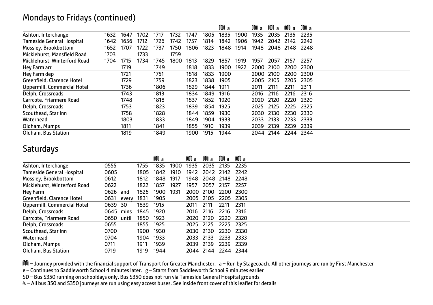#### Mondays to Fridays (continued)

|                              |      |      |      |      |      |      |      | Ma   |      | Ma   | Ma        | Ma        | Ma   |  |  |
|------------------------------|------|------|------|------|------|------|------|------|------|------|-----------|-----------|------|--|--|
| Ashton, Interchange          | 1632 | 1647 | 1702 | 1717 | 1732 | 1747 | 1805 | 1835 | 1900 | 1935 | 2035      | 2135      | 2235 |  |  |
| Tameside General Hospital    | 1642 | 1656 | 1712 | 1726 | 1742 | 1757 | 1814 | 1842 | 1906 | 1942 | 2042      | 2142      | 2242 |  |  |
| Mossley, Brookbottom         | 1652 | 1707 | 1722 | 1737 | 1750 | 1806 | 1823 | 1848 | 1914 | 1948 | 2048      | 2148      | 2248 |  |  |
| Micklehurst, Mansfield Road  | 1703 |      | 1733 |      | 1759 |      |      |      |      |      |           |           |      |  |  |
| Micklehurst, Winterford Road | 1704 | 1715 | 1734 | 1745 | 1800 | 1813 | 1829 | 1857 | 1919 | 1957 | 2057      | 2157      | 2257 |  |  |
| Hey Farm arr                 |      | 1719 |      | 1749 |      | 1818 | 1833 | 1900 | 1922 | 2000 | 2100      | 2200      | 2300 |  |  |
| Hey Farm dep                 |      | 1721 |      | 1751 |      | 1818 | 1833 | 1900 |      | 2000 | 2100      | 2200      | 2300 |  |  |
| Greenfield, Clarence Hotel   |      | 1729 |      | 1759 |      | 1823 | 1838 | 1905 |      | 2005 | 2105      | 2205      | 2305 |  |  |
| Uppermill, Commercial Hotel  |      | 1736 |      | 1806 |      | 1829 | 1844 | 1911 |      | 2011 | 2111      | 2211      | 2311 |  |  |
| Delph, Crossroads            |      | 1743 |      | 1813 |      | 1834 | 1849 | 1916 |      | 2016 | 2116      | 2216      | 2316 |  |  |
| Carrcote, Friarmere Road     |      | 1748 |      | 1818 |      | 1837 | 1852 | 1920 |      | 2020 | 2120      | 2220      | 2320 |  |  |
| Delph, Crossroads            |      | 1753 |      | 1823 |      | 1839 | 1854 | 1925 |      | 2025 | 2125      | 2225      | 2325 |  |  |
| Scouthead, Star Inn          |      | 1758 |      | 1828 |      | 1844 | 1859 | 1930 |      | 2030 | 2130      | 2230      | 2330 |  |  |
| Waterhead                    |      | 1803 |      | 1833 |      | 1849 | 1904 | 1933 |      | 2033 | 2133      | 2233      | 2333 |  |  |
| Oldham, Mumps                |      | 1811 |      | 1841 |      | 1855 | 1910 | 1939 |      | 2039 | 2139      | 2239      | 2339 |  |  |
| Oldham, Bus Station          |      | 1819 |      | 1849 |      | 1900 | 1915 | 1944 |      |      | 2044 2144 | 2244 2344 |      |  |  |

#### **Saturdays**

|                                  |            |       |      | Ma   |      | M a  | Ma        | Ma             | Ma    |  |
|----------------------------------|------------|-------|------|------|------|------|-----------|----------------|-------|--|
| Ashton, Interchange              | 0555       |       | 1755 | 1835 | 1900 | 1935 | 2035      | 2135           | 2235  |  |
| <b>Tameside General Hospital</b> | 0605       |       | 1805 | 1842 | 1910 | 1942 | 2042      | 2142           | 2242  |  |
| Mossley, Brookbottom             | 0612       |       | 1812 | 1848 | 1917 | 1948 |           | 2048 2148 2248 |       |  |
| Micklehurst, Winterford Road     | 0622       |       | 1822 | 1857 | 1927 | 1957 | 2057      | 2157           | 2257  |  |
| Hey Farm                         | 0626       | and   | 1826 | 1900 | 1931 |      | 2000 2100 | 2200 2300      |       |  |
| Greenfield, Clarence Hotel       | 0631       | everv | 1831 | 1905 |      | 2005 | 2105      | 2205           | -2305 |  |
| Uppermill, Commercial Hotel      | 0639       | 30    | 1839 | 1915 |      | 2011 | 2111      | 2211           | 2311  |  |
| Delph, Crossroads                | 0645       | mins  | 1845 | 1920 |      | 2016 | 2116      | 2216           | 2316  |  |
| Carrcote, Friarmere Road         | 0650 until |       | 1850 | 1923 |      | 2020 | 2120      | 2220           | 2320  |  |
| Delph, Crossroads                | 0655       |       | 1855 | 1925 |      | 2025 | 2125      | 2225           | 2325  |  |
| Scouthead, Star Inn              | 0700       |       | 1900 | 1930 |      | 2030 | 2130      | 2230           | 2330  |  |
| Waterhead                        | 0704       |       | 1904 | 1933 |      | 2033 | 2133      | 2233           | 2333  |  |
| Oldham, Mumps                    | 0711       |       | 1911 | 1939 |      | 2039 | 2139      | 2239           | 2339  |  |
| Oldham, Bus Station              | 0719       |       | 1919 | 1944 |      |      | 2044 2144 | 2244 2344      |       |  |

M – Journey provided with the financial support of Transport for Greater Manchester. a – Run by Stagecoach. All other journeys are run by First Manchester

e – Continues to Saddleworth School 4 minutes later. g – Starts from Saddleworth School 9 minutes earlier

SD – Bus S350 running on schooldays only. Bus S350 does not run via Tameside General Hospital grounds

W– All bus 350 and S350 journeys are run using easy access buses. See inside front cover of this leaflet for details